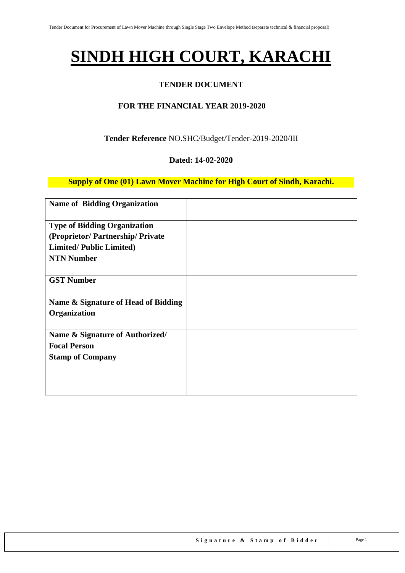# **SINDH HIGH COURT, KARACHI**

## **TENDER DOCUMENT**

## **FOR THE FINANCIAL YEAR 2019-2020**

### **Tender Reference** NO.SHC/Budget/Tender-2019-2020/III

#### **Dated: 14-02-2020**

**Supply of One (01) Lawn Mover Machine for High Court of Sindh, Karachi.**

| <b>Name of Bidding Organization</b> |  |
|-------------------------------------|--|
| <b>Type of Bidding Organization</b> |  |
| (Proprietor/Partnership/Private     |  |
| <b>Limited/Public Limited)</b>      |  |
| <b>NTN Number</b>                   |  |
| <b>GST Number</b>                   |  |
| Name & Signature of Head of Bidding |  |
| Organization                        |  |
| Name & Signature of Authorized/     |  |
| <b>Focal Person</b>                 |  |
| <b>Stamp of Company</b>             |  |
|                                     |  |
|                                     |  |
|                                     |  |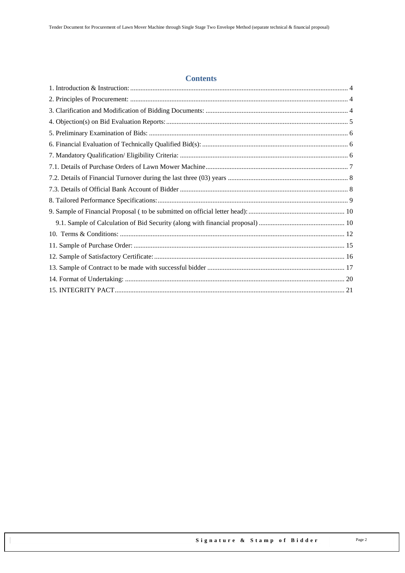#### **Contents**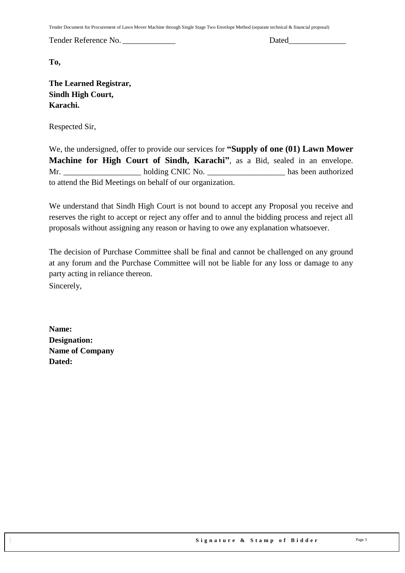Tender Document for Procurement of Lawn Mover Machine through Single Stage Two Envelope Method (separate technical & financial proposal)

Tender Reference No. \_\_\_\_\_\_\_\_\_\_\_\_\_ Dated\_\_\_\_\_\_\_\_\_\_\_\_\_\_

**To,** 

**The Learned Registrar, Sindh High Court, Karachi.**

Respected Sir,

We, the undersigned, offer to provide our services for **"Supply of one (01) Lawn Mower Machine for High Court of Sindh, Karachi"**, as a Bid, sealed in an envelope. Mr. \_\_\_\_\_\_\_\_\_\_\_\_\_\_\_\_\_\_\_ holding CNIC No. \_\_\_\_\_\_\_\_\_\_\_\_\_\_\_\_\_\_\_ has been authorized to attend the Bid Meetings on behalf of our organization.

We understand that Sindh High Court is not bound to accept any Proposal you receive and reserves the right to accept or reject any offer and to annul the bidding process and reject all proposals without assigning any reason or having to owe any explanation whatsoever.

The decision of Purchase Committee shall be final and cannot be challenged on any ground at any forum and the Purchase Committee will not be liable for any loss or damage to any party acting in reliance thereon. Sincerely,

**Name: Designation: Name of Company Dated:**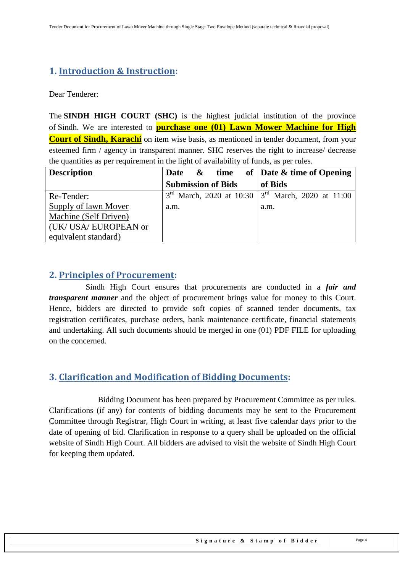# <span id="page-3-0"></span>**1. Introduction & Instruction:**

Dear Tenderer:

The **SINDH HIGH COURT (SHC)** is the highest judicial institution of the province of [Sindh.](https://en.wikipedia.org/wiki/Sindh) We are interested to **purchase one (01) Lawn Mower Machine for High Court of Sindh, Karachi** on item wise basis, as mentioned in tender document, from your esteemed firm / agency in transparent manner. SHC reserves the right to increase/ decrease the quantities as per requirement in the light of availability of funds, as per rules.

| <b>Description</b>    | Date & time               | of $\vert$ Date & time of Opening                           |
|-----------------------|---------------------------|-------------------------------------------------------------|
|                       | <b>Submission of Bids</b> | of Bids                                                     |
| Re-Tender:            |                           | $3^{rd}$ March, 2020 at 10:30 $3^{rd}$ March, 2020 at 11:00 |
| Supply of lawn Mover  | a.m.                      | a.m.                                                        |
| Machine (Self Driven) |                           |                                                             |
| (UK/ USA/ EUROPEAN or |                           |                                                             |
| equivalent standard)  |                           |                                                             |

## <span id="page-3-1"></span>**2. Principles of Procurement:**

 Sindh High Court ensures that procurements are conducted in a *fair and transparent manner* and the object of procurement brings value for money to this Court. Hence, bidders are directed to provide soft copies of scanned tender documents, tax registration certificates, purchase orders, bank maintenance certificate, financial statements and undertaking. All such documents should be merged in one (01) PDF FILE for uploading on the concerned.

## <span id="page-3-2"></span>**3. Clarification and Modification of Bidding Documents:**

Bidding Document has been prepared by Procurement Committee as per rules. Clarifications (if any) for contents of bidding documents may be sent to the Procurement Committee through Registrar, High Court in writing, at least five calendar days prior to the date of opening of bid. Clarification in response to a query shall be uploaded on the official website of Sindh High Court. All bidders are advised to visit the website of Sindh High Court for keeping them updated.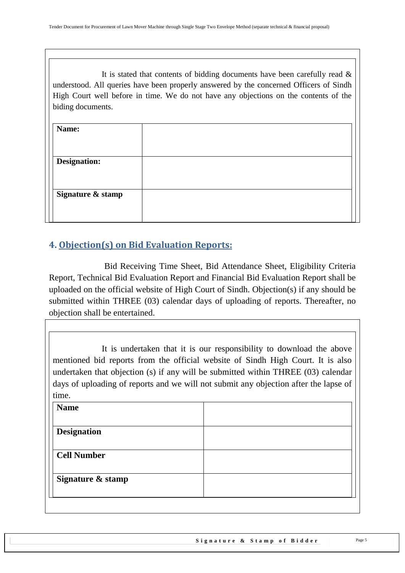It is stated that contents of bidding documents have been carefully read  $\&$ understood. All queries have been properly answered by the concerned Officers of Sindh High Court well before in time. We do not have any objections on the contents of the biding documents.

| Name:               |  |
|---------------------|--|
|                     |  |
| <b>Designation:</b> |  |
|                     |  |
| Signature & stamp   |  |
|                     |  |

# <span id="page-4-0"></span>**4. Objection(s) on Bid Evaluation Reports:**

 Bid Receiving Time Sheet, Bid Attendance Sheet, Eligibility Criteria Report, Technical Bid Evaluation Report and Financial Bid Evaluation Report shall be uploaded on the official website of High Court of Sindh. Objection(s) if any should be submitted within THREE (03) calendar days of uploading of reports. Thereafter, no objection shall be entertained.

It is undertaken that it is our responsibility to download the above mentioned bid reports from the official website of Sindh High Court. It is also undertaken that objection (s) if any will be submitted within THREE (03) calendar days of uploading of reports and we will not submit any objection after the lapse of time.

| <b>Name</b>        |  |
|--------------------|--|
| <b>Designation</b> |  |
| <b>Cell Number</b> |  |
|                    |  |
| Signature & stamp  |  |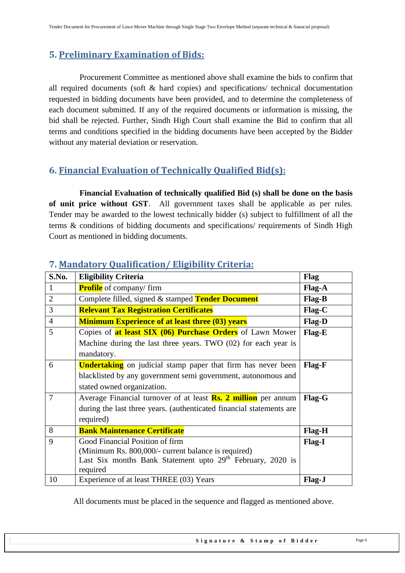# <span id="page-5-0"></span>**5. Preliminary Examination of Bids:**

 Procurement Committee as mentioned above shall examine the bids to confirm that all required documents (soft & hard copies) and specifications/ technical documentation requested in bidding documents have been provided, and to determine the completeness of each document submitted. If any of the required documents or information is missing, the bid shall be rejected. Further, Sindh High Court shall examine the Bid to confirm that all terms and conditions specified in the bidding documents have been accepted by the Bidder without any material deviation or reservation.

# <span id="page-5-1"></span>**6. Financial Evaluation of Technically Qualified Bid(s):**

 **Financial Evaluation of technically qualified Bid (s) shall be done on the basis of unit price without GST**. All government taxes shall be applicable as per rules. Tender may be awarded to the lowest technically bidder (s) subject to fulfillment of all the terms & conditions of bidding documents and specifications/ requirements of Sindh High Court as mentioned in bidding documents.

| S.No.          | <b>Eligibility Criteria</b>                                            | Flag          |
|----------------|------------------------------------------------------------------------|---------------|
| 1              | <b>Profile</b> of company/firm                                         | <b>Flag-A</b> |
| $\overline{2}$ | Complete filled, signed & stamped Tender Document                      | Flag-B        |
| 3              | <b>Relevant Tax Registration Certificates</b>                          | Flag-C        |
| $\overline{4}$ | <b>Minimum Experience of at least three (03) years</b>                 | Flag-D        |
| 5              | Copies of <b>at least SIX (06) Purchase Orders</b> of Lawn Mower       | Flag-E        |
|                | Machine during the last three years. TWO $(02)$ for each year is       |               |
|                | mandatory.                                                             |               |
| 6              | <b>Undertaking</b> on judicial stamp paper that firm has never been    | Flag-F        |
|                | blacklisted by any government semi government, autonomous and          |               |
|                | stated owned organization.                                             |               |
| $\overline{7}$ | Average Financial turnover of at least <b>Rs. 2 million</b> per annum  | Flag-G        |
|                | during the last three years. (authenticated financial statements are   |               |
|                | required)                                                              |               |
| 8              | <b>Bank Maintenance Certificate</b>                                    | <b>Flag-H</b> |
| 9              | Good Financial Position of firm                                        | <b>Flag-I</b> |
|                | (Minimum Rs. 800,000/- current balance is required)                    |               |
|                | Last Six months Bank Statement upto 29 <sup>th</sup> February, 2020 is |               |
|                | required                                                               |               |
| 10             | Experience of at least THREE (03) Years                                | Flag-J        |

# <span id="page-5-2"></span>**7. Mandatory Qualification/ Eligibility Criteria:**

All documents must be placed in the sequence and flagged as mentioned above.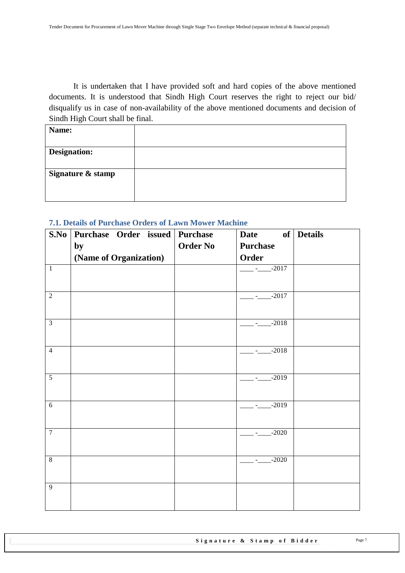It is undertaken that I have provided soft and hard copies of the above mentioned documents. It is understood that Sindh High Court reserves the right to reject our bid/ disqualify us in case of non-availability of the above mentioned documents and decision of Sindh High Court shall be final.

#### <span id="page-6-0"></span>**7.1. Details of Purchase Orders of Lawn Mower Machine**

| S.No           | Purchase Order issued Purchase |                 | <b>Date</b>     | of Details |
|----------------|--------------------------------|-----------------|-----------------|------------|
|                | by                             | <b>Order No</b> | <b>Purchase</b> |            |
|                | (Name of Organization)         |                 | Order           |            |
| $\mathbf{1}$   |                                |                 | $-$ - $-$ -2017 |            |
|                |                                |                 |                 |            |
| $\overline{2}$ |                                |                 | $-2017$         |            |
|                |                                |                 |                 |            |
| $\overline{3}$ |                                |                 | $-2018$         |            |
|                |                                |                 |                 |            |
| $\overline{4}$ |                                |                 | $-2018$         |            |
|                |                                |                 |                 |            |
| $\overline{5}$ |                                |                 | $-2019$         |            |
|                |                                |                 |                 |            |
| 6              |                                |                 | $-2019$         |            |
|                |                                |                 |                 |            |
| $\overline{7}$ |                                |                 | $-2020$         |            |
|                |                                |                 |                 |            |
| $\,8\,$        |                                |                 | $-2020$         |            |
|                |                                |                 |                 |            |
| 9              |                                |                 |                 |            |
|                |                                |                 |                 |            |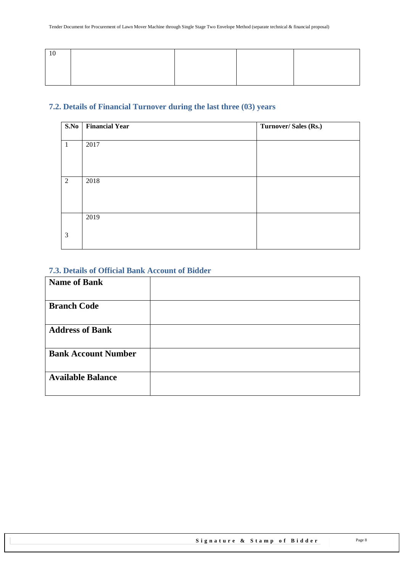## <span id="page-7-0"></span>**7.2. Details of Financial Turnover during the last three (03) years**

| S.No           | <b>Financial Year</b> | Turnover/Sales (Rs.) |
|----------------|-----------------------|----------------------|
| $\mathbf{1}$   | 2017                  |                      |
|                |                       |                      |
|                |                       |                      |
| $\overline{2}$ | 2018                  |                      |
|                |                       |                      |
|                |                       |                      |
|                | 2019                  |                      |
| 3              |                       |                      |
|                |                       |                      |

#### <span id="page-7-1"></span>**7.3. Details of Official Bank Account of Bidder**

| <b>Name of Bank</b>        |  |
|----------------------------|--|
|                            |  |
| <b>Branch Code</b>         |  |
| <b>Address of Bank</b>     |  |
| <b>Bank Account Number</b> |  |
| <b>Available Balance</b>   |  |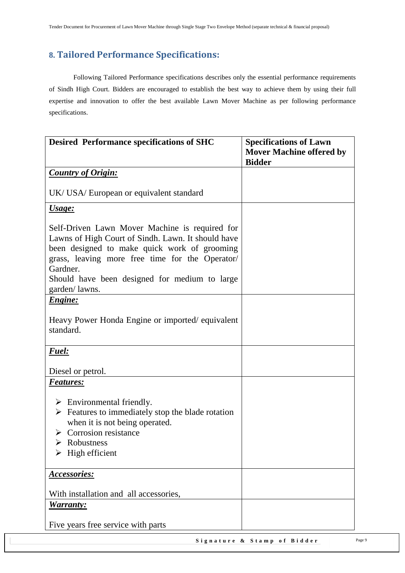## <span id="page-8-0"></span>**8. Tailored Performance Specifications:**

Following Tailored Performance specifications describes only the essential performance requirements of Sindh High Court. Bidders are encouraged to establish the best way to achieve them by using their full expertise and innovation to offer the best available Lawn Mover Machine as per following performance specifications.

| <b>Desired Performance specifications of SHC</b>                                                                                                                                                                                                                     | <b>Specifications of Lawn</b><br><b>Mover Machine offered by</b> |
|----------------------------------------------------------------------------------------------------------------------------------------------------------------------------------------------------------------------------------------------------------------------|------------------------------------------------------------------|
|                                                                                                                                                                                                                                                                      | <b>Bidder</b>                                                    |
| <b>Country of Origin:</b>                                                                                                                                                                                                                                            |                                                                  |
| UK/ USA/ European or equivalent standard                                                                                                                                                                                                                             |                                                                  |
| Usage:                                                                                                                                                                                                                                                               |                                                                  |
| Self-Driven Lawn Mover Machine is required for<br>Lawns of High Court of Sindh. Lawn. It should have<br>been designed to make quick work of grooming<br>grass, leaving more free time for the Operator/<br>Gardner.<br>Should have been designed for medium to large |                                                                  |
| garden/lawns.                                                                                                                                                                                                                                                        |                                                                  |
| <b>Engine:</b>                                                                                                                                                                                                                                                       |                                                                  |
| Heavy Power Honda Engine or imported/equivalent<br>standard.                                                                                                                                                                                                         |                                                                  |
| <b>Fuel:</b>                                                                                                                                                                                                                                                         |                                                                  |
| Diesel or petrol.                                                                                                                                                                                                                                                    |                                                                  |
| <b>Features:</b>                                                                                                                                                                                                                                                     |                                                                  |
| $\triangleright$ Environmental friendly.<br>$\triangleright$ Features to immediately stop the blade rotation<br>when it is not being operated.<br>$\triangleright$ Corrosion resistance<br>Robustness<br>High efficient                                              |                                                                  |
| <u>Accessories:</u>                                                                                                                                                                                                                                                  |                                                                  |
| With installation and all accessories,<br><u>Warranty:</u>                                                                                                                                                                                                           |                                                                  |
| Five years free service with parts                                                                                                                                                                                                                                   |                                                                  |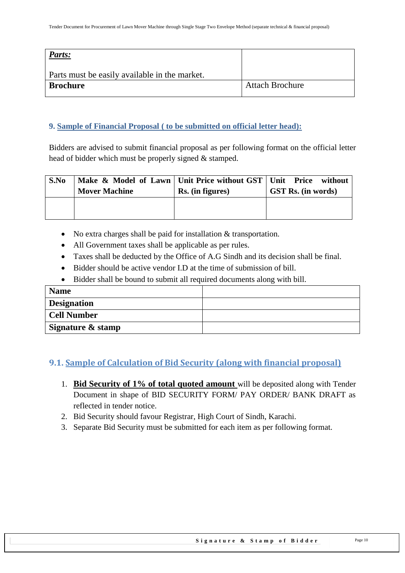| Parts:                                        |                        |
|-----------------------------------------------|------------------------|
| Parts must be easily available in the market. |                        |
| <b>Brochure</b>                               | <b>Attach Brochure</b> |

#### <span id="page-9-0"></span>**9. Sample of Financial Proposal ( to be submitted on official letter head):**

Bidders are advised to submit financial proposal as per following format on the official letter head of bidder which must be properly signed & stamped.

| S.No | Make & Model of Lawn   Unit Price without GST   Unit Price without<br><b>Mover Machine</b> | Rs. (in figures) | <b>GST Rs.</b> (in words) |
|------|--------------------------------------------------------------------------------------------|------------------|---------------------------|
|      |                                                                                            |                  |                           |

- No extra charges shall be paid for installation & transportation.
- All Government taxes shall be applicable as per rules.
- Taxes shall be deducted by the Office of A.G Sindh and its decision shall be final.
- Bidder should be active vendor I.D at the time of submission of bill.
- Bidder shall be bound to submit all required documents along with bill.

| <b>Name</b>        |  |
|--------------------|--|
| <b>Designation</b> |  |
| Cell Number        |  |
| Signature & stamp  |  |

## <span id="page-9-1"></span>**9.1. Sample of Calculation of Bid Security (along with financial proposal)**

- 1. **Bid Security of 1% of total quoted amount** will be deposited along with Tender Document in shape of BID SECURITY FORM/ PAY ORDER/ BANK DRAFT as reflected in tender notice.
- 2. Bid Security should favour Registrar, High Court of Sindh, Karachi.
- 3. Separate Bid Security must be submitted for each item as per following format.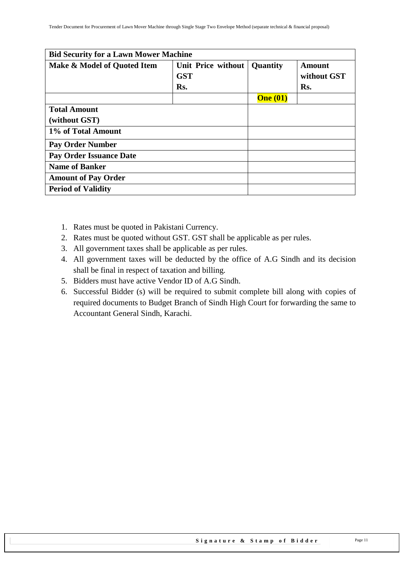| <b>Bid Security for a Lawn Mower Machine</b> |            |                 |             |  |  |  |  |  |
|----------------------------------------------|------------|-----------------|-------------|--|--|--|--|--|
| Make & Model of Quoted Item                  | Quantity   | <b>Amount</b>   |             |  |  |  |  |  |
|                                              | <b>GST</b> |                 | without GST |  |  |  |  |  |
|                                              | Rs.        |                 | Rs.         |  |  |  |  |  |
|                                              |            | <b>One</b> (01) |             |  |  |  |  |  |
| <b>Total Amount</b>                          |            |                 |             |  |  |  |  |  |
| (without GST)                                |            |                 |             |  |  |  |  |  |
| 1% of Total Amount                           |            |                 |             |  |  |  |  |  |
| <b>Pay Order Number</b>                      |            |                 |             |  |  |  |  |  |
| <b>Pay Order Issuance Date</b>               |            |                 |             |  |  |  |  |  |
| <b>Name of Banker</b>                        |            |                 |             |  |  |  |  |  |
| <b>Amount of Pay Order</b>                   |            |                 |             |  |  |  |  |  |
| <b>Period of Validity</b>                    |            |                 |             |  |  |  |  |  |

- 1. Rates must be quoted in Pakistani Currency.
- 2. Rates must be quoted without GST. GST shall be applicable as per rules.
- 3. All government taxes shall be applicable as per rules.
- 4. All government taxes will be deducted by the office of A.G Sindh and its decision shall be final in respect of taxation and billing.
- 5. Bidders must have active Vendor ID of A.G Sindh.
- 6. Successful Bidder (s) will be required to submit complete bill along with copies of required documents to Budget Branch of Sindh High Court for forwarding the same to Accountant General Sindh, Karachi.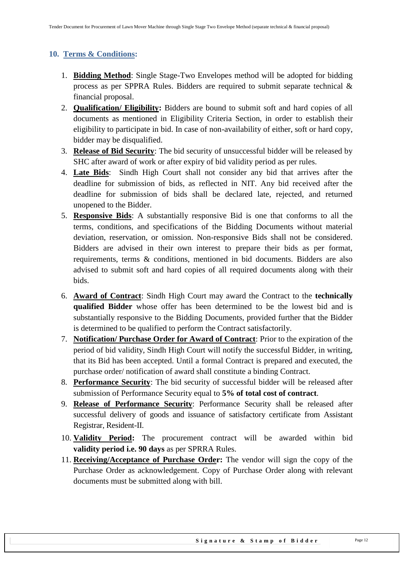## <span id="page-11-0"></span>**10. Terms & Conditions:**

- 1. **Bidding Method**: Single Stage-Two Envelopes method will be adopted for bidding process as per SPPRA Rules. Bidders are required to submit separate technical & financial proposal.
- 2. **Qualification/ Eligibility:** Bidders are bound to submit soft and hard copies of all documents as mentioned in Eligibility Criteria Section, in order to establish their eligibility to participate in bid. In case of non-availability of either, soft or hard copy, bidder may be disqualified.
- 3. **Release of Bid Security**: The bid security of unsuccessful bidder will be released by SHC after award of work or after expiry of bid validity period as per rules.
- 4. **Late Bids**: Sindh High Court shall not consider any bid that arrives after the deadline for submission of bids, as reflected in NIT. Any bid received after the deadline for submission of bids shall be declared late, rejected, and returned unopened to the Bidder.
- 5. **Responsive Bids**: A substantially responsive Bid is one that conforms to all the terms, conditions, and specifications of the Bidding Documents without material deviation, reservation, or omission. Non-responsive Bids shall not be considered. Bidders are advised in their own interest to prepare their bids as per format, requirements, terms & conditions, mentioned in bid documents. Bidders are also advised to submit soft and hard copies of all required documents along with their bids.
- 6. **Award of Contract**: Sindh High Court may award the Contract to the **technically qualified Bidder** whose offer has been determined to be the lowest bid and is substantially responsive to the Bidding Documents, provided further that the Bidder is determined to be qualified to perform the Contract satisfactorily.
- 7. **Notification/ Purchase Order for Award of Contract**: Prior to the expiration of the period of bid validity, Sindh High Court will notify the successful Bidder, in writing, that its Bid has been accepted. Until a formal Contract is prepared and executed, the purchase order/ notification of award shall constitute a binding Contract.
- 8. **Performance Security**: The bid security of successful bidder will be released after submission of Performance Security equal to **5% of total cost of contract**.
- 9. **Release of Performance Security**: Performance Security shall be released after successful delivery of goods and issuance of satisfactory certificate from Assistant Registrar, Resident-II.
- 10. **Validity Period:** The procurement contract will be awarded within bid **validity period i.e. 90 days** as per SPRRA Rules.
- 11. **Receiving/Acceptance of Purchase Order:** The vendor will sign the copy of the Purchase Order as acknowledgement. Copy of Purchase Order along with relevant documents must be submitted along with bill.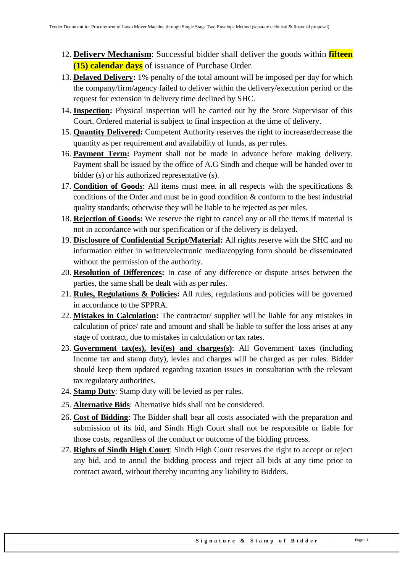- 12. **Delivery Mechanism**: Successful bidder shall deliver the goods within **fifteen (15) calendar days** of issuance of Purchase Order.
- 13. **Delayed Delivery:** 1% penalty of the total amount will be imposed per day for which the company/firm/agency failed to deliver within the delivery/execution period or the request for extension in delivery time declined by SHC.
- 14. **Inspection:** Physical inspection will be carried out by the Store Supervisor of this Court. Ordered material is subject to final inspection at the time of delivery.
- 15. **Quantity Delivered:** Competent Authority reserves the right to increase/decrease the quantity as per requirement and availability of funds, as per rules.
- 16. **Payment Term:** Payment shall not be made in advance before making delivery. Payment shall be issued by the office of A.G Sindh and cheque will be handed over to bidder (s) or his authorized representative (s).
- 17. **Condition of Goods**: All items must meet in all respects with the specifications & conditions of the Order and must be in good condition & conform to the best industrial quality standards; otherwise they will be liable to be rejected as per rules.
- 18. **Rejection of Goods:** We reserve the right to cancel any or all the items if material is not in accordance with our specification or if the delivery is delayed.
- 19. **Disclosure of Confidential Script/Material:** All rights reserve with the SHC and no information either in written/electronic media/copying form should be disseminated without the permission of the authority.
- 20. **Resolution of Differences:** In case of any difference or dispute arises between the parties, the same shall be dealt with as per rules.
- 21. **Rules, Regulations & Policies:** All rules, regulations and policies will be governed in accordance to the SPPRA.
- 22. **Mistakes in Calculation:** The contractor/ supplier will be liable for any mistakes in calculation of price/ rate and amount and shall be liable to suffer the loss arises at any stage of contract, due to mistakes in calculation or tax rates.
- 23. **Government tax(es), levi(es) and charges(s)**: All Government taxes (including Income tax and stamp duty), levies and charges will be charged as per rules. Bidder should keep them updated regarding taxation issues in consultation with the relevant tax regulatory authorities.
- 24. **Stamp Duty**: Stamp duty will be levied as per rules.
- 25. **Alternative Bids**: Alternative bids shall not be considered.
- 26. **Cost of Bidding**: The Bidder shall bear all costs associated with the preparation and submission of its bid, and Sindh High Court shall not be responsible or liable for those costs, regardless of the conduct or outcome of the bidding process.
- 27. **Rights of Sindh High Court**: Sindh High Court reserves the right to accept or reject any bid, and to annul the bidding process and reject all bids at any time prior to contract award, without thereby incurring any liability to Bidders.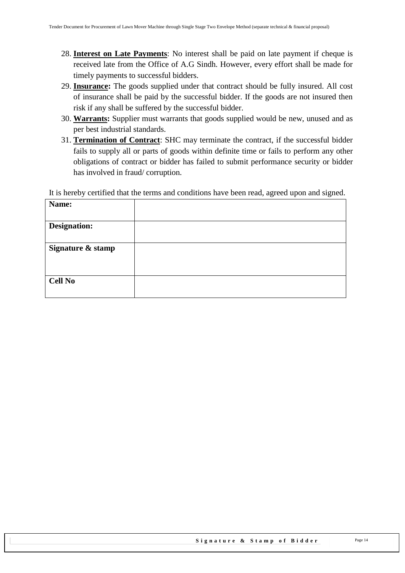- 28. **Interest on Late Payments**: No interest shall be paid on late payment if cheque is received late from the Office of A.G Sindh. However, every effort shall be made for timely payments to successful bidders.
- 29. **Insurance:** The goods supplied under that contract should be fully insured. All cost of insurance shall be paid by the successful bidder. If the goods are not insured then risk if any shall be suffered by the successful bidder.
- 30. **Warrants:** Supplier must warrants that goods supplied would be new, unused and as per best industrial standards.
- 31. **Termination of Contract**: SHC may terminate the contract, if the successful bidder fails to supply all or parts of goods within definite time or fails to perform any other obligations of contract or bidder has failed to submit performance security or bidder has involved in fraud/ corruption.

It is hereby certified that the terms and conditions have been read, agreed upon and signed.

| Name:               |  |
|---------------------|--|
| <b>Designation:</b> |  |
| Signature & stamp   |  |
| <b>Cell No</b>      |  |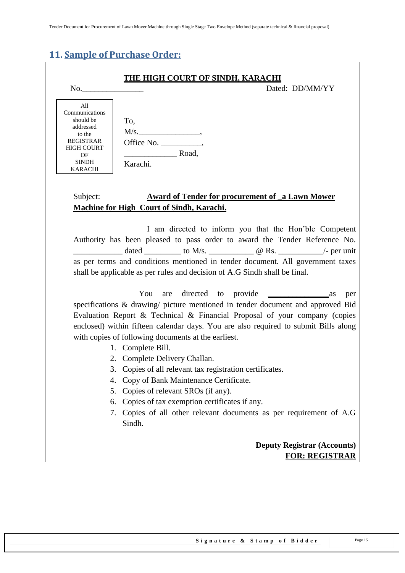# <span id="page-14-0"></span>**11. Sample of Purchase Order:**

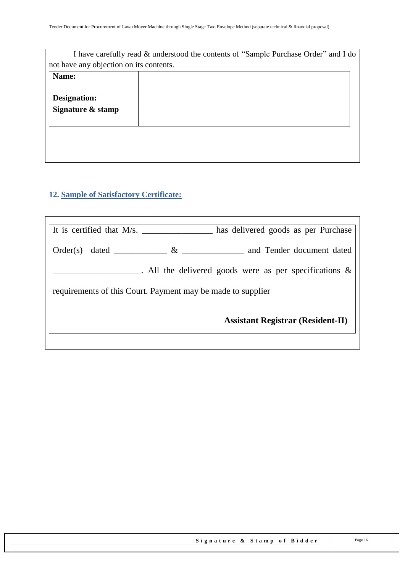| I have carefully read & understood the contents of "Sample Purchase Order" and I do |
|-------------------------------------------------------------------------------------|
| not have any objection on its contents.                                             |
|                                                                                     |
|                                                                                     |
|                                                                                     |
|                                                                                     |
|                                                                                     |
|                                                                                     |
|                                                                                     |
|                                                                                     |
|                                                                                     |

# <span id="page-15-0"></span>**12. Sample of Satisfactory Certificate:**

| It is certified that M/s.                                   | has delivered goods as per Purchase                       |  |  |  |  |  |
|-------------------------------------------------------------|-----------------------------------------------------------|--|--|--|--|--|
| $\&$<br>Order(s)                                            | and Tender document dated                                 |  |  |  |  |  |
|                                                             | . All the delivered goods were as per specifications $\&$ |  |  |  |  |  |
| requirements of this Court. Payment may be made to supplier |                                                           |  |  |  |  |  |
| <b>Assistant Registrar (Resident-II)</b>                    |                                                           |  |  |  |  |  |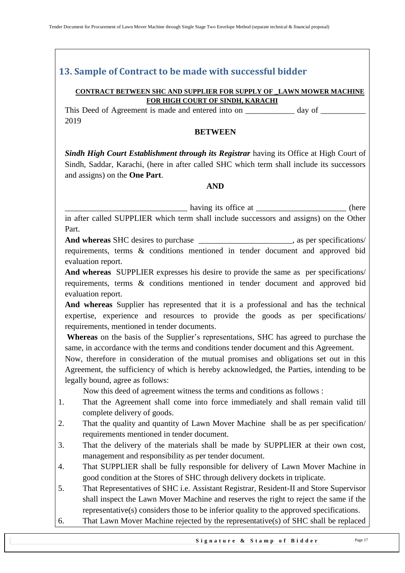# <span id="page-16-0"></span>**13. Sample of Contract to be made with successful bidder**

#### **CONTRACT BETWEEN SHC AND SUPPLIER FOR SUPPLY OF \_LAWN MOWER MACHINE FOR HIGH COURT OF SINDH, KARACHI**

This Deed of Agreement is made and entered into on day of  $\alpha$ 2019

#### **BETWEEN**

*Sindh High Court Establishment through its Registrar having its Office at High Court of* Sindh, Saddar, Karachi, (here in after called SHC which term shall include its successors and assigns) on the **One Part**.

#### **AND**

\_\_\_\_\_\_\_\_\_\_\_\_\_\_\_\_\_\_\_\_\_\_\_\_\_\_\_\_\_\_ having its office at \_\_\_\_\_\_\_\_\_\_\_\_\_\_\_\_\_\_\_\_\_\_ (here in after called SUPPLIER which term shall include successors and assigns) on the Other Part.

And whereas SHC desires to purchase the set of the set of the set of the set of the set of the set of the set of the set of the set of the set of the set of the set of the set of the set of the set of the set of the set of requirements, terms & conditions mentioned in tender document and approved bid evaluation report.

**And whereas** SUPPLIER expresses his desire to provide the same as per specifications/ requirements, terms & conditions mentioned in tender document and approved bid evaluation report.

**And whereas** Supplier has represented that it is a professional and has the technical expertise, experience and resources to provide the goods as per specifications/ requirements, mentioned in tender documents.

**Whereas** on the basis of the Supplier"s representations, SHC has agreed to purchase the same, in accordance with the terms and conditions tender document and this Agreement.

Now, therefore in consideration of the mutual promises and obligations set out in this Agreement, the sufficiency of which is hereby acknowledged, the Parties, intending to be legally bound, agree as follows:

Now this deed of agreement witness the terms and conditions as follows :

- 1. That the Agreement shall come into force immediately and shall remain valid till complete delivery of goods.
- 2. That the quality and quantity of Lawn Mover Machine shall be as per specification/ requirements mentioned in tender document.
- 3. That the delivery of the materials shall be made by SUPPLIER at their own cost, management and responsibility as per tender document.
- 4. That SUPPLIER shall be fully responsible for delivery of Lawn Mover Machine in good condition at the Stores of SHC through delivery dockets in triplicate.
- 5. That Representatives of SHC i.e. Assistant Registrar, Resident-II and Store Supervisor shall inspect the Lawn Mover Machine and reserves the right to reject the same if the representative(s) considers those to be inferior quality to the approved specifications.
- 6. That Lawn Mover Machine rejected by the representative(s) of SHC shall be replaced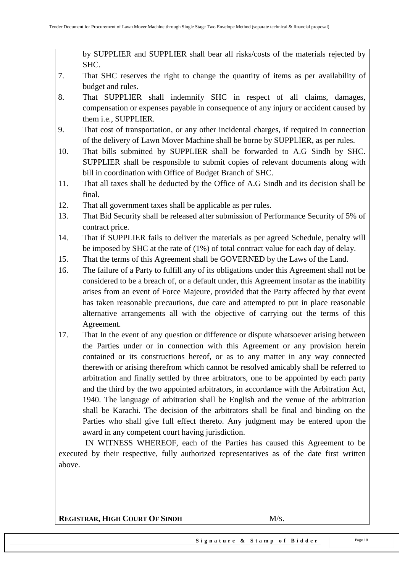by SUPPLIER and SUPPLIER shall bear all risks/costs of the materials rejected by SHC.

- 7. That SHC reserves the right to change the quantity of items as per availability of budget and rules.
- 8. That SUPPLIER shall indemnify SHC in respect of all claims, damages, compensation or expenses payable in consequence of any injury or accident caused by them i.e., SUPPLIER.
- 9. That cost of transportation, or any other incidental charges, if required in connection of the delivery of Lawn Mover Machine shall be borne by SUPPLIER, as per rules.
- 10. That bills submitted by SUPPLIER shall be forwarded to A.G Sindh by SHC. SUPPLIER shall be responsible to submit copies of relevant documents along with bill in coordination with Office of Budget Branch of SHC.
- 11. That all taxes shall be deducted by the Office of A.G Sindh and its decision shall be final.
- 12. That all government taxes shall be applicable as per rules.
- 13. That Bid Security shall be released after submission of Performance Security of 5% of contract price.
- 14. That if SUPPLIER fails to deliver the materials as per agreed Schedule, penalty will be imposed by SHC at the rate of (1%) of total contract value for each day of delay.
- 15. That the terms of this Agreement shall be GOVERNED by the Laws of the Land.
- 16. The failure of a Party to fulfill any of its obligations under this Agreement shall not be considered to be a breach of, or a default under, this Agreement insofar as the inability arises from an event of Force Majeure, provided that the Party affected by that event has taken reasonable precautions, due care and attempted to put in place reasonable alternative arrangements all with the objective of carrying out the terms of this Agreement.
- 17. That In the event of any question or difference or dispute whatsoever arising between the Parties under or in connection with this Agreement or any provision herein contained or its constructions hereof, or as to any matter in any way connected therewith or arising therefrom which cannot be resolved amicably shall be referred to arbitration and finally settled by three arbitrators, one to be appointed by each party and the third by the two appointed arbitrators, in accordance with the Arbitration Act, 1940. The language of arbitration shall be English and the venue of the arbitration shall be Karachi. The decision of the arbitrators shall be final and binding on the Parties who shall give full effect thereto. Any judgment may be entered upon the award in any competent court having jurisdiction.

 IN WITNESS WHEREOF, each of the Parties has caused this Agreement to be executed by their respective, fully authorized representatives as of the date first written above.

**REGISTRAR, HIGH COURT OF SINDH** M/S.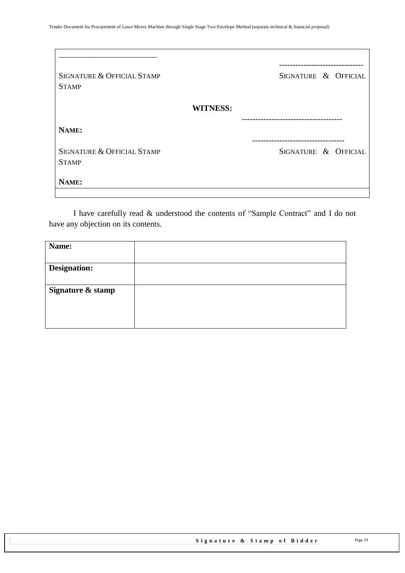| SIGNATURE & OFFICIAL STAMP<br><b>STAMP</b> | SIGNATURE & OFFICIAL |
|--------------------------------------------|----------------------|
| <b>WITNESS:</b>                            |                      |
| NAME:                                      |                      |
| SIGNATURE & OFFICIAL STAMP<br><b>STAMP</b> | SIGNATURE & OFFICIAL |
| NAME:                                      |                      |

I have carefully read & understood the contents of "Sample Contract" and I do not have any objection on its contents.

| Name:               |  |
|---------------------|--|
|                     |  |
| <b>Designation:</b> |  |
|                     |  |
| Signature & stamp   |  |
|                     |  |
|                     |  |
|                     |  |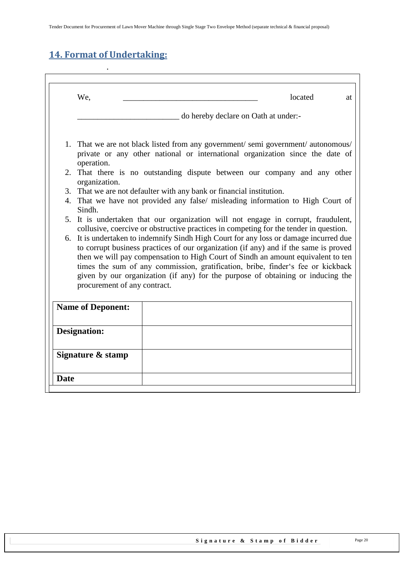# <span id="page-19-0"></span>**14. Format of Undertaking:**

.

|    | We,                                                                  | located<br>at                                                                                                                                                                                                                                                                                                                                                                                                                           |
|----|----------------------------------------------------------------------|-----------------------------------------------------------------------------------------------------------------------------------------------------------------------------------------------------------------------------------------------------------------------------------------------------------------------------------------------------------------------------------------------------------------------------------------|
|    |                                                                      | do hereby declare on Oath at under:-                                                                                                                                                                                                                                                                                                                                                                                                    |
|    | operation.                                                           | 1. That we are not black listed from any government/semi government/autonomous/<br>private or any other national or international organization since the date of                                                                                                                                                                                                                                                                        |
|    | organization.                                                        | 2. That there is no outstanding dispute between our company and any other                                                                                                                                                                                                                                                                                                                                                               |
|    | 3. That we are not defaulter with any bank or financial institution. |                                                                                                                                                                                                                                                                                                                                                                                                                                         |
| 4. | Sindh.                                                               | That we have not provided any false/ misleading information to High Court of                                                                                                                                                                                                                                                                                                                                                            |
|    |                                                                      | 5. It is undertaken that our organization will not engage in corrupt, fraudulent,<br>collusive, coercive or obstructive practices in competing for the tender in question.                                                                                                                                                                                                                                                              |
|    | procurement of any contract.                                         | 6. It is undertaken to indemnify Sindh High Court for any loss or damage incurred due<br>to corrupt business practices of our organization (if any) and if the same is proved<br>then we will pay compensation to High Court of Sindh an amount equivalent to ten<br>times the sum of any commission, gratification, bribe, finder's fee or kickback<br>given by our organization (if any) for the purpose of obtaining or inducing the |
|    | <b>Name of Deponent:</b>                                             |                                                                                                                                                                                                                                                                                                                                                                                                                                         |
|    | <b>Designation:</b>                                                  |                                                                                                                                                                                                                                                                                                                                                                                                                                         |
|    | Signature & stamp                                                    |                                                                                                                                                                                                                                                                                                                                                                                                                                         |
|    |                                                                      |                                                                                                                                                                                                                                                                                                                                                                                                                                         |